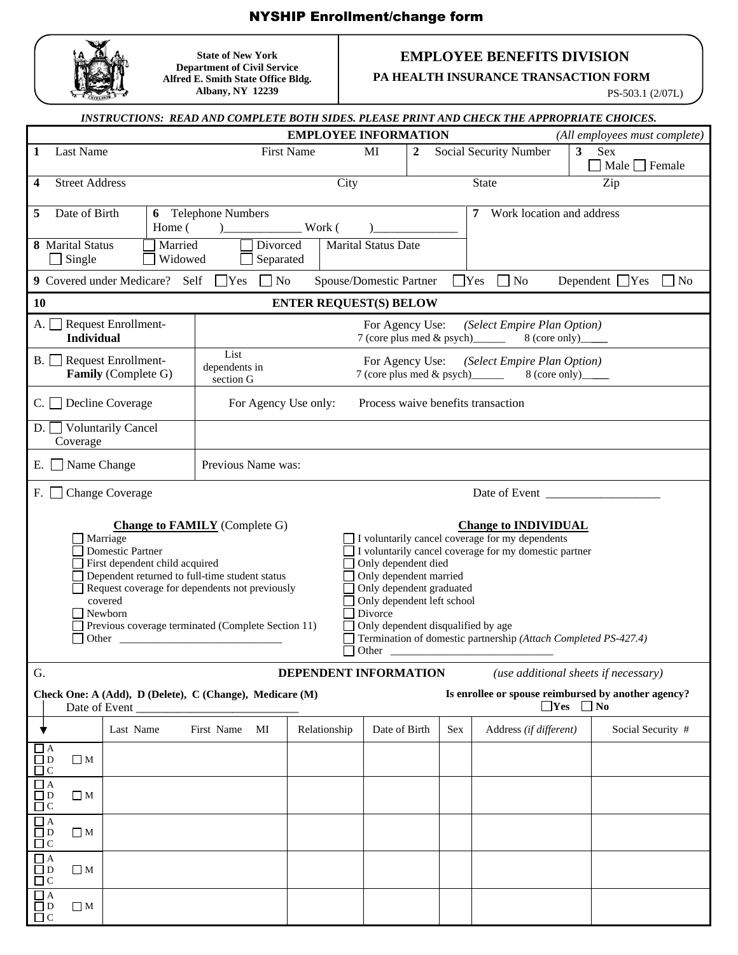## NYSHIP Enrollment/change form



**State of New York Department of Civil Service Alfred E. Smith State Office Bldg. Albany, NY 12239** 

## **EMPLOYEE BENEFITS DIVISION**

**PA HEALTH INSURANCE TRANSACTION FORM**

PS-503.1 (2/07L)

|                                                                                                                                                                                                                                                                                                                                                                                                                                                                                                                                                                                                                                                                                  |                                                                                                                                                          |                                                      |                    |                                                                                                                                     |                       |               |  |                        | INSTRUCTIONS: READ AND COMPLETE BOTH SIDES. PLEASE PRINT AND CHECK THE APPROPRIATE CHOICES. |  |                                       |  |  |
|----------------------------------------------------------------------------------------------------------------------------------------------------------------------------------------------------------------------------------------------------------------------------------------------------------------------------------------------------------------------------------------------------------------------------------------------------------------------------------------------------------------------------------------------------------------------------------------------------------------------------------------------------------------------------------|----------------------------------------------------------------------------------------------------------------------------------------------------------|------------------------------------------------------|--------------------|-------------------------------------------------------------------------------------------------------------------------------------|-----------------------|---------------|--|------------------------|---------------------------------------------------------------------------------------------|--|---------------------------------------|--|--|
| <b>EMPLOYEE INFORMATION</b><br>(All employees must complete)                                                                                                                                                                                                                                                                                                                                                                                                                                                                                                                                                                                                                     |                                                                                                                                                          |                                                      |                    |                                                                                                                                     |                       |               |  |                        |                                                                                             |  |                                       |  |  |
| 1                                                                                                                                                                                                                                                                                                                                                                                                                                                                                                                                                                                                                                                                                | <b>Last Name</b>                                                                                                                                         |                                                      |                    | <b>First Name</b><br>$\overline{2}$<br>MI                                                                                           |                       |               |  | Social Security Number |                                                                                             |  | 3<br>Sex<br>$\Box$ Male $\Box$ Female |  |  |
| 4                                                                                                                                                                                                                                                                                                                                                                                                                                                                                                                                                                                                                                                                                | <b>Street Address</b>                                                                                                                                    |                                                      |                    |                                                                                                                                     | City                  |               |  |                        | <b>State</b>                                                                                |  | Zip                                   |  |  |
| Date of Birth<br>Telephone Numbers<br>Work location and address<br>5<br>7<br>6<br>Work (<br>Home (<br>$\lambda$                                                                                                                                                                                                                                                                                                                                                                                                                                                                                                                                                                  |                                                                                                                                                          |                                                      |                    |                                                                                                                                     |                       |               |  |                        |                                                                                             |  |                                       |  |  |
| Divorced<br>8 Marital Status<br>Married<br><b>Marital Status Date</b><br>$\Box$ Single<br>Widowed<br>Separated                                                                                                                                                                                                                                                                                                                                                                                                                                                                                                                                                                   |                                                                                                                                                          |                                                      |                    |                                                                                                                                     |                       |               |  |                        |                                                                                             |  |                                       |  |  |
|                                                                                                                                                                                                                                                                                                                                                                                                                                                                                                                                                                                                                                                                                  | 9 Covered under Medicare? Self<br>Yes<br>$\exists$ No<br>Spouse/Domestic Partner<br>$\blacksquare$ Yes<br>$\Box$ No<br>Dependent $\Box$ Yes<br>$\neg$ No |                                                      |                    |                                                                                                                                     |                       |               |  |                        |                                                                                             |  |                                       |  |  |
| 10<br><b>ENTER REQUEST(S) BELOW</b>                                                                                                                                                                                                                                                                                                                                                                                                                                                                                                                                                                                                                                              |                                                                                                                                                          |                                                      |                    |                                                                                                                                     |                       |               |  |                        |                                                                                             |  |                                       |  |  |
| A. I                                                                                                                                                                                                                                                                                                                                                                                                                                                                                                                                                                                                                                                                             | <b>Individual</b>                                                                                                                                        | Request Enrollment-                                  |                    | For Agency Use:<br>(Select Empire Plan Option)<br>7 (core plus med & psych)_<br>8 (core only)_                                      |                       |               |  |                        |                                                                                             |  |                                       |  |  |
|                                                                                                                                                                                                                                                                                                                                                                                                                                                                                                                                                                                                                                                                                  |                                                                                                                                                          | B. Request Enrollment-<br><b>Family</b> (Complete G) | List               | For Agency Use:<br>(Select Empire Plan Option)<br>dependents in<br>7 (core plus med & psych)_______<br>$8$ (core only)<br>section G |                       |               |  |                        |                                                                                             |  |                                       |  |  |
| $C.$ Decline Coverage<br>For Agency Use only:<br>Process waive benefits transaction                                                                                                                                                                                                                                                                                                                                                                                                                                                                                                                                                                                              |                                                                                                                                                          |                                                      |                    |                                                                                                                                     |                       |               |  |                        |                                                                                             |  |                                       |  |  |
| D. Voluntarily Cancel<br>Coverage                                                                                                                                                                                                                                                                                                                                                                                                                                                                                                                                                                                                                                                |                                                                                                                                                          |                                                      |                    |                                                                                                                                     |                       |               |  |                        |                                                                                             |  |                                       |  |  |
|                                                                                                                                                                                                                                                                                                                                                                                                                                                                                                                                                                                                                                                                                  | $E.$ $\Box$ Name Change                                                                                                                                  |                                                      | Previous Name was: |                                                                                                                                     |                       |               |  |                        |                                                                                             |  |                                       |  |  |
|                                                                                                                                                                                                                                                                                                                                                                                                                                                                                                                                                                                                                                                                                  | F.<br>$\Box$ Change Coverage<br>Date of Event                                                                                                            |                                                      |                    |                                                                                                                                     |                       |               |  |                        |                                                                                             |  |                                       |  |  |
| <b>Change to FAMILY</b> (Complete G)<br><b>Change to INDIVIDUAL</b><br>I voluntarily cancel coverage for my dependents<br>Marriage<br><b>Domestic Partner</b><br>I voluntarily cancel coverage for my domestic partner<br>First dependent child acquired<br>Only dependent died<br>Dependent returned to full-time student status<br>Only dependent married<br>Only dependent graduated<br>Request coverage for dependents not previously<br>Only dependent left school<br>covered<br>Newborn<br>Divorce<br>Previous coverage terminated (Complete Section 11)<br>Only dependent disqualified by age<br>Termination of domestic partnership (Attach Completed PS-427.4)<br>Other |                                                                                                                                                          |                                                      |                    |                                                                                                                                     |                       |               |  |                        |                                                                                             |  |                                       |  |  |
| G.                                                                                                                                                                                                                                                                                                                                                                                                                                                                                                                                                                                                                                                                               |                                                                                                                                                          |                                                      |                    |                                                                                                                                     | DEPENDENT INFORMATION |               |  |                        | (use additional sheets if necessary)                                                        |  |                                       |  |  |
| Is enrollee or spouse reimbursed by another agency?<br>Check One: A (Add), D (Delete), C (Change), Medicare (M)<br>$\Box$ Yes $\Box$ No<br>Date of Event                                                                                                                                                                                                                                                                                                                                                                                                                                                                                                                         |                                                                                                                                                          |                                                      |                    |                                                                                                                                     |                       |               |  |                        |                                                                                             |  |                                       |  |  |
|                                                                                                                                                                                                                                                                                                                                                                                                                                                                                                                                                                                                                                                                                  |                                                                                                                                                          | Last Name                                            | First Name         | MI                                                                                                                                  | Relationship          | Date of Birth |  | <b>Sex</b>             | Address (if different)                                                                      |  | Social Security #                     |  |  |
| $\Box$ D<br>$\Box$ C                                                                                                                                                                                                                                                                                                                                                                                                                                                                                                                                                                                                                                                             | $\Box$ A<br>$\square$ M                                                                                                                                  |                                                      |                    |                                                                                                                                     |                       |               |  |                        |                                                                                             |  |                                       |  |  |
| $\Box$ A<br>$\Box$ D<br>$\Box$ C                                                                                                                                                                                                                                                                                                                                                                                                                                                                                                                                                                                                                                                 | $\Box$ M                                                                                                                                                 |                                                      |                    |                                                                                                                                     |                       |               |  |                        |                                                                                             |  |                                       |  |  |
| $\Box$ A<br>$\Box$ D<br>$\Box$ C                                                                                                                                                                                                                                                                                                                                                                                                                                                                                                                                                                                                                                                 | $\Box$ M                                                                                                                                                 |                                                      |                    |                                                                                                                                     |                       |               |  |                        |                                                                                             |  |                                       |  |  |
| $\Box$ A<br>$\Box$ D<br>$\Box$ C                                                                                                                                                                                                                                                                                                                                                                                                                                                                                                                                                                                                                                                 | $\Box$ M                                                                                                                                                 |                                                      |                    |                                                                                                                                     |                       |               |  |                        |                                                                                             |  |                                       |  |  |
| $\Box$ A<br>$\Box$ D<br>$\Box$ C                                                                                                                                                                                                                                                                                                                                                                                                                                                                                                                                                                                                                                                 | $\Box$ M                                                                                                                                                 |                                                      |                    |                                                                                                                                     |                       |               |  |                        |                                                                                             |  |                                       |  |  |